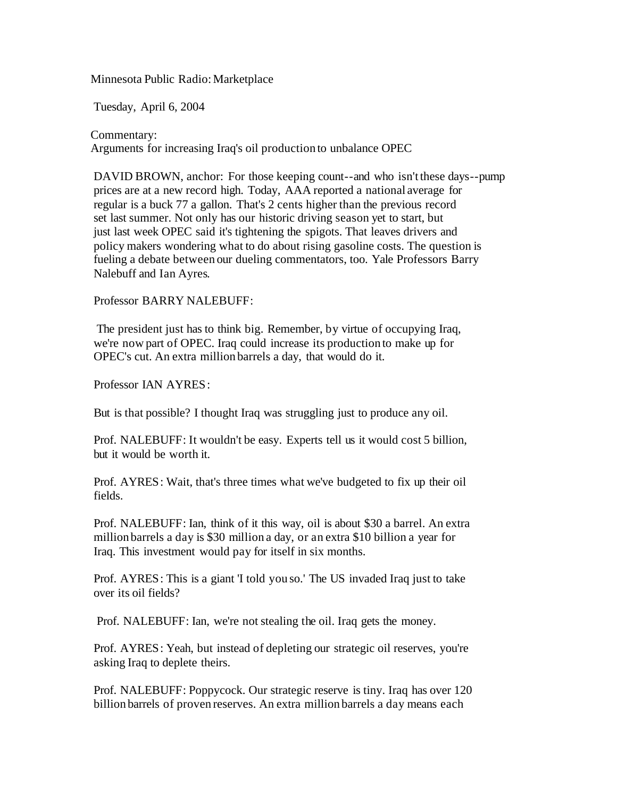Minnesota Public Radio:Marketplace

Tuesday, April 6, 2004

Commentary: Arguments for increasing Iraq's oil production to unbalance OPEC

DAVID BROWN, anchor: For those keeping count--and who isn't these days--pump prices are at a new record high. Today, AAA reported a national average for regular is a buck 77 a gallon. That's 2 cents higher than the previous record set last summer. Not only has our historic driving season yet to start, but just last week OPEC said it's tightening the spigots. That leaves drivers and policy makers wondering what to do about rising gasoline costs. The question is fueling a debate between our dueling commentators, too. Yale Professors Barry Nalebuff and Ian Ayres.

## Professor BARRY NALEBUFF:

The president just has to think big. Remember, by virtue of occupying Iraq, we're now part of OPEC. Iraq could increase its production to make up for OPEC's cut. An extra million barrels a day, that would do it.

Professor IAN AYRES:

But is that possible? I thought Iraq was struggling just to produce any oil.

Prof. NALEBUFF: It wouldn't be easy. Experts tell us it would cost 5 billion, but it would be worth it.

Prof. AYRES: Wait, that's three times what we've budgeted to fix up their oil fields.

Prof. NALEBUFF: Ian, think of it this way, oil is about \$30 a barrel. An extra million barrels a day is \$30 million a day, or an extra \$10 billion a year for Iraq. This investment would pay for itself in six months.

Prof. AYRES: This is a giant 'I told you so.' The US invaded Iraq just to take over its oil fields?

Prof. NALEBUFF: Ian, we're not stealing the oil. Iraq gets the money.

Prof. AYRES: Yeah, but instead of depleting our strategic oil reserves, you're asking Iraq to deplete theirs.

Prof. NALEBUFF: Poppycock. Our strategic reserve is tiny. Iraq has over 120 billion barrels of proven reserves. An extra million barrels a day means each